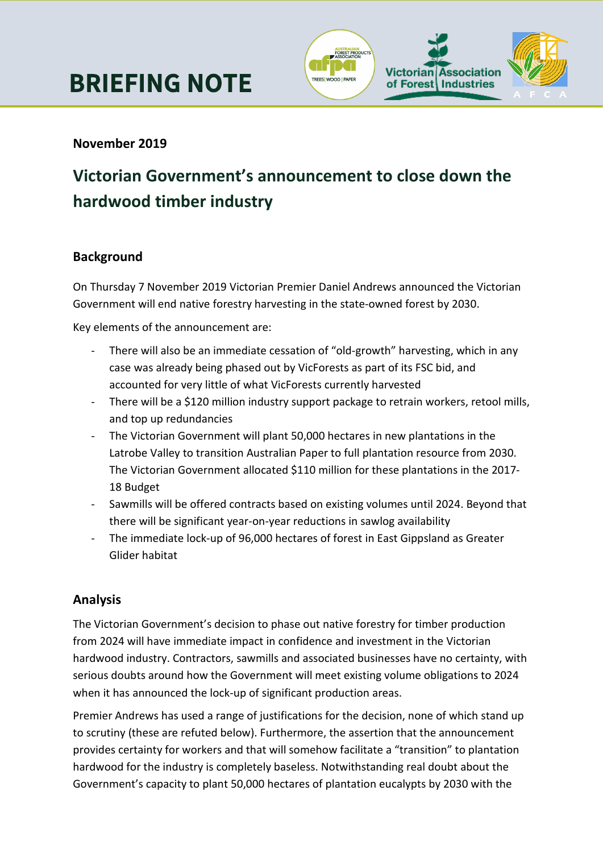

# **November 2019**

# **Victorian Government's announcement to close down the hardwood timber industry**

#### **Background**

On Thursday 7 November 2019 Victorian Premier Daniel Andrews announced the Victorian Government will end native forestry harvesting in the state-owned forest by 2030.

Key elements of the announcement are:

- There will also be an immediate cessation of "old-growth" harvesting, which in any case was already being phased out by VicForests as part of its FSC bid, and accounted for very little of what VicForests currently harvested
- There will be a \$120 million industry support package to retrain workers, retool mills, and top up redundancies
- The Victorian Government will plant 50,000 hectares in new plantations in the Latrobe Valley to transition Australian Paper to full plantation resource from 2030. The Victorian Government allocated \$110 million for these plantations in the 2017- 18 Budget
- Sawmills will be offered contracts based on existing volumes until 2024. Beyond that there will be significant year-on-year reductions in sawlog availability
- The immediate lock-up of 96,000 hectares of forest in East Gippsland as Greater Glider habitat

## **Analysis**

The Victorian Government's decision to phase out native forestry for timber production from 2024 will have immediate impact in confidence and investment in the Victorian hardwood industry. Contractors, sawmills and associated businesses have no certainty, with serious doubts around how the Government will meet existing volume obligations to 2024 when it has announced the lock-up of significant production areas.

Premier Andrews has used a range of justifications for the decision, none of which stand up to scrutiny (these are refuted below). Furthermore, the assertion that the announcement provides certainty for workers and that will somehow facilitate a "transition" to plantation hardwood for the industry is completely baseless. Notwithstanding real doubt about the Government's capacity to plant 50,000 hectares of plantation eucalypts by 2030 with the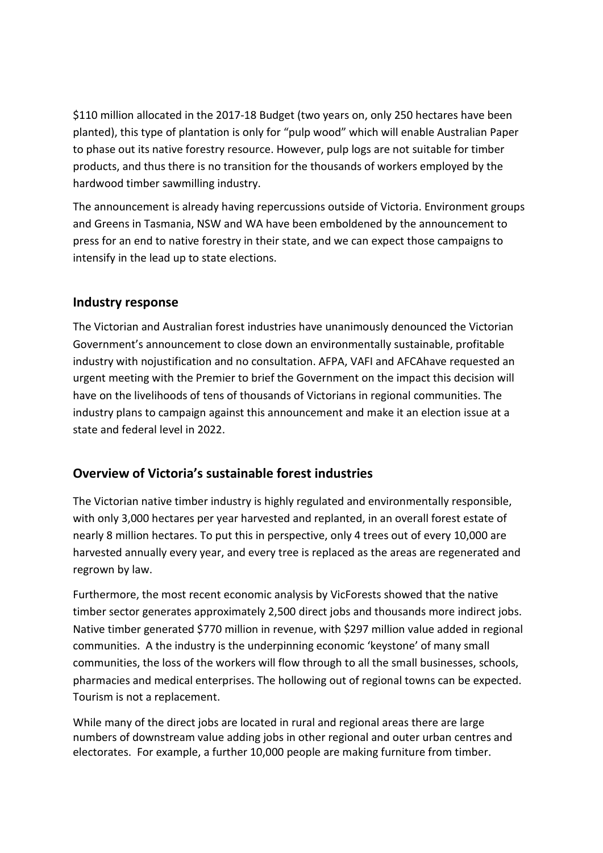\$110 million allocated in the 2017-18 Budget (two years on, only 250 hectares have been planted), this type of plantation is only for "pulp wood" which will enable Australian Paper to phase out its native forestry resource. However, pulp logs are not suitable for timber products, and thus there is no transition for the thousands of workers employed by the hardwood timber sawmilling industry.

The announcement is already having repercussions outside of Victoria. Environment groups and Greens in Tasmania, NSW and WA have been emboldened by the announcement to press for an end to native forestry in their state, and we can expect those campaigns to intensify in the lead up to state elections.

#### **Industry response**

The Victorian and Australian forest industries have unanimously denounced the Victorian Government's announcement to close down an environmentally sustainable, profitable industry with nojustification and no consultation. AFPA, VAFI and AFCAhave requested an urgent meeting with the Premier to brief the Government on the impact this decision will have on the livelihoods of tens of thousands of Victorians in regional communities. The industry plans to campaign against this announcement and make it an election issue at a state and federal level in 2022.

## **Overview of Victoria's sustainable forest industries**

The Victorian native timber industry is highly regulated and environmentally responsible, with only 3,000 hectares per year harvested and replanted, in an overall forest estate of nearly 8 million hectares. To put this in perspective, only 4 trees out of every 10,000 are harvested annually every year, and every tree is replaced as the areas are regenerated and regrown by law.

Furthermore, the most recent economic analysis by VicForests showed that the native timber sector generates approximately 2,500 direct jobs and thousands more indirect jobs. Native timber generated \$770 million in revenue, with \$297 million value added in regional communities. A the industry is the underpinning economic 'keystone' of many small communities, the loss of the workers will flow through to all the small businesses, schools, pharmacies and medical enterprises. The hollowing out of regional towns can be expected. Tourism is not a replacement.

While many of the direct jobs are located in rural and regional areas there are large numbers of downstream value adding jobs in other regional and outer urban centres and electorates. For example, a further 10,000 people are making furniture from timber.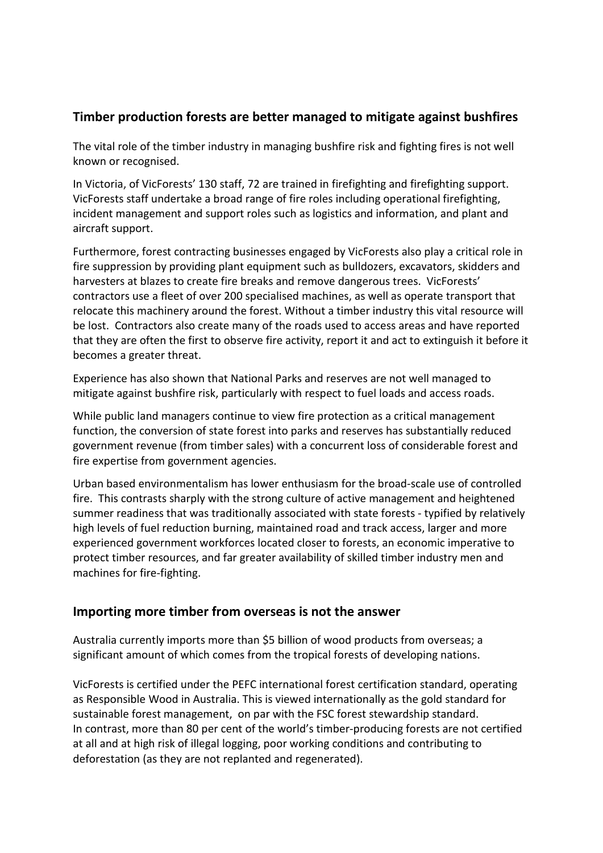#### **Timber production forests are better managed to mitigate against bushfires**

The vital role of the timber industry in managing bushfire risk and fighting fires is not well known or recognised.

In Victoria, of VicForests' 130 staff, 72 are trained in firefighting and firefighting support. VicForests staff undertake a broad range of fire roles including operational firefighting, incident management and support roles such as logistics and information, and plant and aircraft support.

Furthermore, forest contracting businesses engaged by VicForests also play a critical role in fire suppression by providing plant equipment such as bulldozers, excavators, skidders and harvesters at blazes to create fire breaks and remove dangerous trees. VicForests' contractors use a fleet of over 200 specialised machines, as well as operate transport that relocate this machinery around the forest. Without a timber industry this vital resource will be lost. Contractors also create many of the roads used to access areas and have reported that they are often the first to observe fire activity, report it and act to extinguish it before it becomes a greater threat.

Experience has also shown that National Parks and reserves are not well managed to mitigate against bushfire risk, particularly with respect to fuel loads and access roads.

While public land managers continue to view fire protection as a critical management function, the conversion of state forest into parks and reserves has substantially reduced government revenue (from timber sales) with a concurrent loss of considerable forest and fire expertise from government agencies.

Urban based environmentalism has lower enthusiasm for the broad-scale use of controlled fire. This contrasts sharply with the strong culture of active management and heightened summer readiness that was traditionally associated with state forests - typified by relatively high levels of fuel reduction burning, maintained road and track access, larger and more experienced government workforces located closer to forests, an economic imperative to protect timber resources, and far greater availability of skilled timber industry men and machines for fire-fighting.

#### **Importing more timber from overseas is not the answer**

Australia currently imports more than \$5 billion of wood products from overseas; a significant amount of which comes from the tropical forests of developing nations.

VicForests is certified under the PEFC international forest certification standard, operating as Responsible Wood in Australia. This is viewed internationally as the gold standard for sustainable forest management, on par with the FSC forest stewardship standard. In contrast, more than 80 per cent of the world's timber-producing forests are not certified at all and at high risk of illegal logging, poor working conditions and contributing to deforestation (as they are not replanted and regenerated).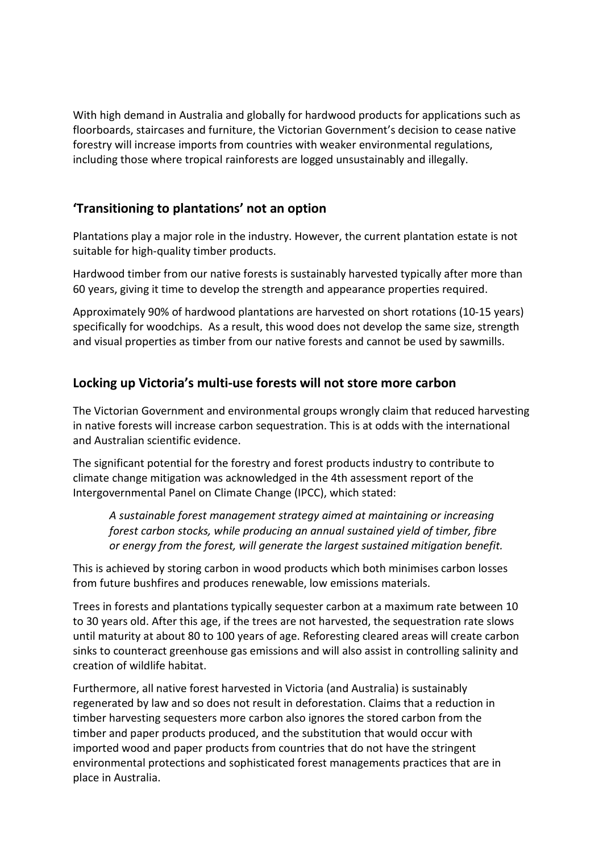With high demand in Australia and globally for hardwood products for applications such as floorboards, staircases and furniture, the Victorian Government's decision to cease native forestry will increase imports from countries with weaker environmental regulations, including those where tropical rainforests are logged unsustainably and illegally.

## **'Transitioning to plantations' not an option**

Plantations play a major role in the industry. However, the current plantation estate is not suitable for high-quality timber products.

Hardwood timber from our native forests is sustainably harvested typically after more than 60 years, giving it time to develop the strength and appearance properties required.

Approximately 90% of hardwood plantations are harvested on short rotations (10-15 years) specifically for woodchips. As a result, this wood does not develop the same size, strength and visual properties as timber from our native forests and cannot be used by sawmills.

## **Locking up Victoria's multi-use forests will not store more carbon**

The Victorian Government and environmental groups wrongly claim that reduced harvesting in native forests will increase carbon sequestration. This is at odds with the international and Australian scientific evidence.

The significant potential for the forestry and forest products industry to contribute to climate change mitigation was acknowledged in the 4th assessment report of the Intergovernmental Panel on Climate Change (IPCC), which stated:

*A sustainable forest management strategy aimed at maintaining or increasing forest carbon stocks, while producing an annual sustained yield of timber, fibre or energy from the forest, will generate the largest sustained mitigation benefit.*

This is achieved by storing carbon in wood products which both minimises carbon losses from future bushfires and produces renewable, low emissions materials.

Trees in forests and plantations typically sequester carbon at a maximum rate between 10 to 30 years old. After this age, if the trees are not harvested, the sequestration rate slows until maturity at about 80 to 100 years of age. Reforesting cleared areas will create carbon sinks to counteract greenhouse gas emissions and will also assist in controlling salinity and creation of wildlife habitat.

Furthermore, all native forest harvested in Victoria (and Australia) is sustainably regenerated by law and so does not result in deforestation. Claims that a reduction in timber harvesting sequesters more carbon also ignores the stored carbon from the timber and paper products produced, and the substitution that would occur with imported wood and paper products from countries that do not have the stringent environmental protections and sophisticated forest managements practices that are in place in Australia.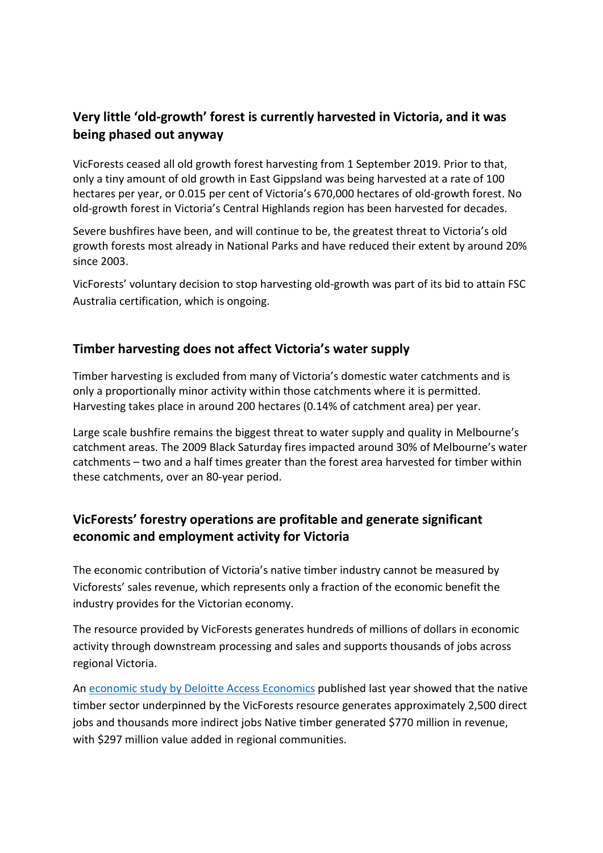## **Very little 'old-growth' forest is currently harvested in Victoria, and it was being phased out anyway**

VicForests ceased all old growth forest harvesting from 1 September 2019. Prior to that, only a tiny amount of old growth in East Gippsland was being harvested at a rate of 100 hectares per year, or 0.015 per cent of Victoria's 670,000 hectares of old-growth forest. No old-growth forest in Victoria's Central Highlands region has been harvested for decades.

Severe bushfires have been, and will continue to be, the greatest threat to Victoria's old growth forests most already in National Parks and have reduced their extent by around 20% since 2003.

VicForests' voluntary decision to stop harvesting old-growth was part of its bid to attain FSC Australia certification, which is ongoing.

#### **Timber harvesting does not affect Victoria's water supply**

Timber harvesting is excluded from many of Victoria's domestic water catchments and is only a proportionally minor activity within those catchments where it is permitted. Harvesting takes place in around 200 hectares (0.14% of catchment area) per year.

Large scale bushfire remains the biggest threat to water supply and quality in Melbourne's catchment areas. The 2009 Black Saturday fires impacted around 30% of Melbourne's water catchments – two and a half times greater than the forest area harvested for timber within these catchments, over an 80-year period.

## **VicForests' forestry operations are profitable and generate significant economic and employment activity for Victoria**

The economic contribution of Victoria's native timber industry cannot be measured by Vicforests' sales revenue, which represents only a fraction of the economic benefit the industry provides for the Victorian economy.

The resource provided by VicForests generates hundreds of millions of dollars in economic activity through downstream processing and sales and supports thousands of jobs across regional Victoria.

An [economic study by Deloitte Access Economics](http://www.vicforests.com.au/static/uploads/files/report-vf-2017-deloitte-report-final-wfmtrpbbmtwu.pdf) published last year showed that the native timber sector underpinned by the VicForests resource generates approximately 2,500 direct jobs and thousands more indirect jobs Native timber generated \$770 million in revenue, with \$297 million value added in regional communities.